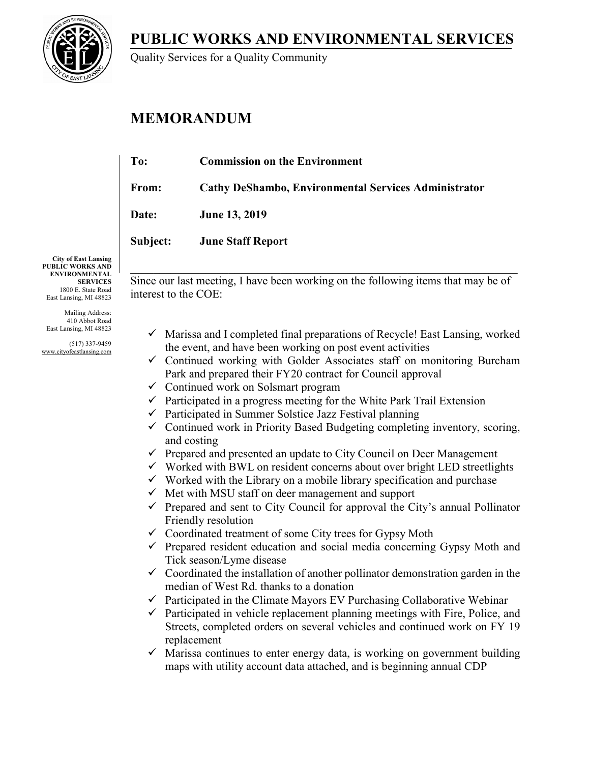**PUBLIC WORKS AND ENVIRONMENTAL SERVICES**



Quality Services for a Quality Community

# **MEMORANDUM**

| To:          | <b>Commission on the Environment</b>                 |
|--------------|------------------------------------------------------|
| From:        | Cathy DeShambo, Environmental Services Administrator |
| <b>Date:</b> | <b>June 13, 2019</b>                                 |
| Subject:     | <b>June Staff Report</b>                             |
|              |                                                      |

**City of East Lansing PUBLIC WORKS AND ENVIRONMENTAL SERVICES** 1800 E. State Road East Lansing, MI 48823

Mailing Address: 410 Abbot Road East Lansing, MI 48823

(517) 337-9459 www.cityofeastlansing.com

Since our last meeting, I have been working on the following items that may be of interest to the COE:

- $\checkmark$  Marissa and I completed final preparations of Recycle! East Lansing, worked the event, and have been working on post event activities
- $\checkmark$  Continued working with Golder Associates staff on monitoring Burcham Park and prepared their FY20 contract for Council approval
- $\checkmark$  Continued work on Solsmart program
- $\checkmark$  Participated in a progress meeting for the White Park Trail Extension
- $\checkmark$  Participated in Summer Solstice Jazz Festival planning
- $\checkmark$  Continued work in Priority Based Budgeting completing inventory, scoring, and costing
- $\checkmark$  Prepared and presented an update to City Council on Deer Management
- $\checkmark$  Worked with BWL on resident concerns about over bright LED streetlights
- $\checkmark$  Worked with the Library on a mobile library specification and purchase
- $\checkmark$  Met with MSU staff on deer management and support
- $\checkmark$  Prepared and sent to City Council for approval the City's annual Pollinator Friendly resolution
- $\checkmark$  Coordinated treatment of some City trees for Gypsy Moth
- $\checkmark$  Prepared resident education and social media concerning Gypsy Moth and Tick season/Lyme disease
- $\checkmark$  Coordinated the installation of another pollinator demonstration garden in the median of West Rd. thanks to a donation
- $\checkmark$  Participated in the Climate Mayors EV Purchasing Collaborative Webinar
- $\checkmark$  Participated in vehicle replacement planning meetings with Fire, Police, and Streets, completed orders on several vehicles and continued work on FY 19 replacement
- $\checkmark$  Marissa continues to enter energy data, is working on government building maps with utility account data attached, and is beginning annual CDP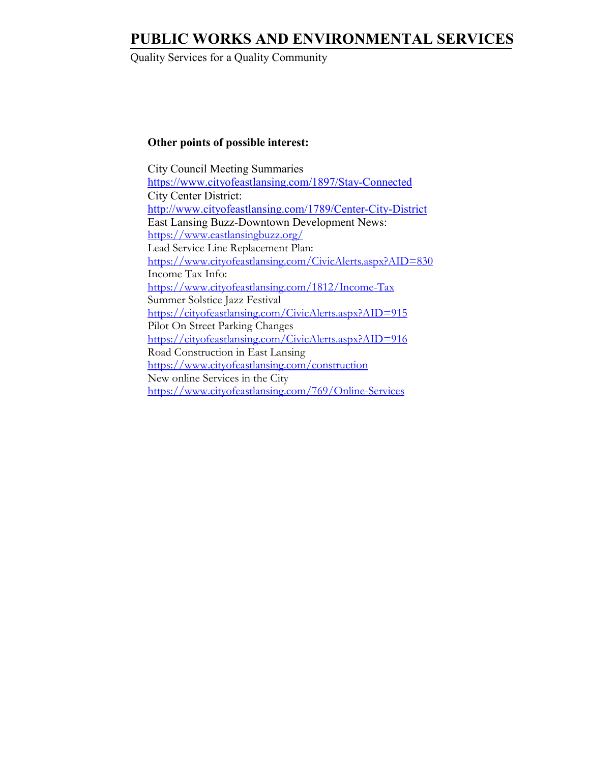## **PUBLIC WORKS AND ENVIRONMENTAL SERVICES**

Quality Services for a Quality Community

### **Other points of possible interest:**

 City Council Meeting Summaries <https://www.cityofeastlansing.com/1897/Stay-Connected> City Center District: <http://www.cityofeastlansing.com/1789/Center-City-District> East Lansing Buzz-Downtown Development News: <https://www.eastlansingbuzz.org/> Lead Service Line Replacement Plan: <https://www.cityofeastlansing.com/CivicAlerts.aspx?AID=830> Income Tax Info: <https://www.cityofeastlansing.com/1812/Income-Tax> Summer Solstice Jazz Festival <https://cityofeastlansing.com/CivicAlerts.aspx?AID=915> Pilot On Street Parking Changes <https://cityofeastlansing.com/CivicAlerts.aspx?AID=916> Road Construction in East Lansing <https://www.cityofeastlansing.com/construction> New online Services in the City <https://www.cityofeastlansing.com/769/Online-Services>